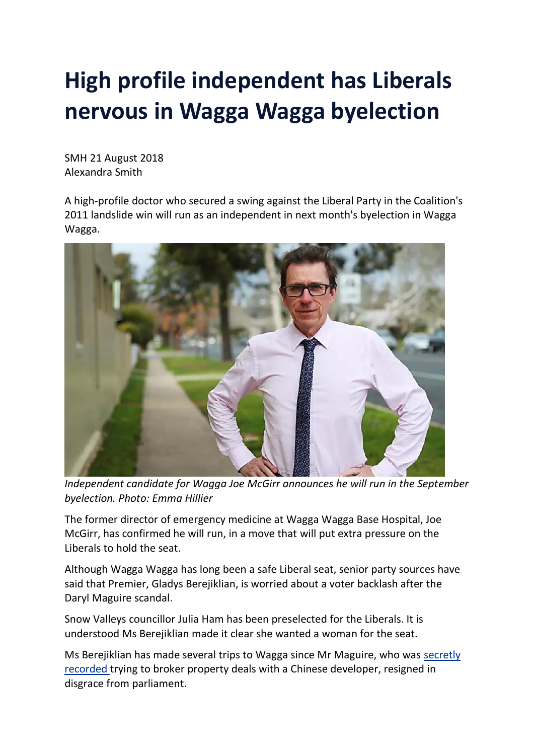## **High profile independent has Liberals nervous in Wagga Wagga byelection**

SMH 21 August 2018 Alexandra Smith

A high-profile doctor who secured a swing against the Liberal Party in the Coalition's 2011 landslide win will run as an independent in next month's byelection in Wagga Wagga.



*Independent candidate for Wagga Joe McGirr announces he will run in the September byelection. Photo: Emma Hillier*

The former director of emergency medicine at Wagga Wagga Base Hospital, Joe McGirr, has confirmed he will run, in a move that will put extra pressure on the Liberals to hold the seat.

Although Wagga Wagga has long been a safe Liberal seat, senior party sources have said that Premier, Gladys Berejiklian, is worried about a voter backlash after the Daryl Maguire scandal.

Snow Valleys councillor Julia Ham has been preselected for the Liberals. It is understood Ms Berejiklian made it clear she wanted a woman for the seat.

Ms Berejiklian has made several trips to Wagga since Mr Maguire, who was [secretly](https://www.smh.com.au/link/follow-20170101-p4zrcl) [recorded](https://www.smh.com.au/link/follow-20170101-p4zrcl) trying to broker property deals with a Chinese developer, resigned in disgrace from parliament.